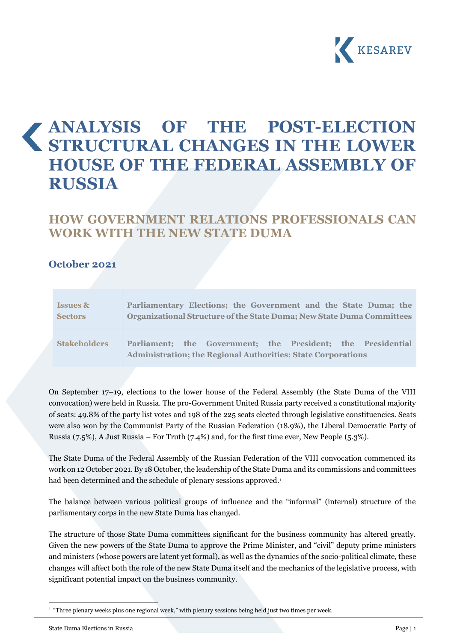

# **ANALYSIS OF THE POST-ELECTION STRUCTURAL CHANGES IN THE LOWER HOUSE OF THE FEDERAL ASSEMBLY OF RUSSIA**

# **HOW GOVERNMENT RELATIONS PROFESSIONALS CAN WORK WITH THE NEW STATE DUMA**

#### **October 2021**

| <b>Issues &amp;</b> | Parliamentary Elections; the Government and the State Duma; the                                                                              |
|---------------------|----------------------------------------------------------------------------------------------------------------------------------------------|
| <b>Sectors</b>      | Organizational Structure of the State Duma; New State Duma Committees                                                                        |
| <b>Stakeholders</b> | the Government; the President; the Presidential<br><b>Parliament:</b><br><b>Administration; the Regional Authorities; State Corporations</b> |

On September 17–19, elections to the lower house of the Federal Assembly (the State Duma of the VIII convocation) were held in Russia. The pro-Government United Russia party received a constitutional majority of seats: 49.8% of the party list votes and 198 of the 225 seats elected through legislative constituencies. Seats were also won by the Communist Party of the Russian Federation (18.9%), the Liberal Democratic Party of Russia (7.5%), A Just Russia – For Truth (7.4%) and, for the first time ever, New People (5.3%).

The State Duma of the Federal Assembly of the Russian Federation of the VIII convocation commenced its work on 12 October 2021. By 18 October, the leadership of the State Duma and its commissions and committees had been determined and the schedule of plenary sessions approved.<sup>1</sup>

The balance between various political groups of influence and the "informal" (internal) structure of the parliamentary corps in the new State Duma has changed.

The structure of those State Duma committees significant for the business community has altered greatly. Given the new powers of the State Duma to approve the Prime Minister, and "civil" deputy prime ministers and ministers (whose powers are latent yet formal), as well as the dynamics of the socio-political climate, these changes will affect both the role of the new State Duma itself and the mechanics of the legislative process, with significant potential impact on the business community.

<sup>&</sup>lt;sup>1</sup> "Three plenary weeks plus one regional week," with plenary sessions being held just two times per week.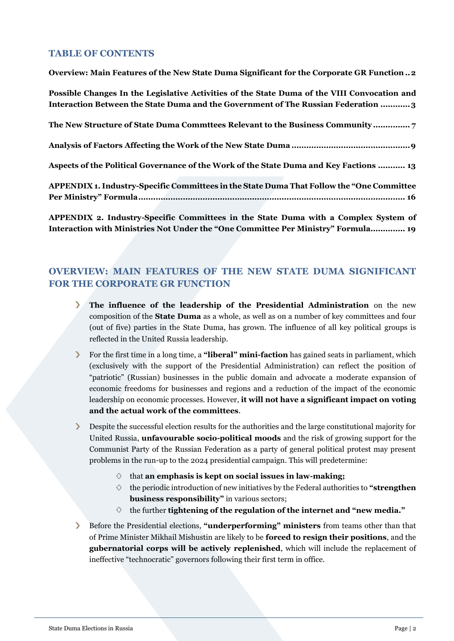#### **TABLE OF CONTENTS**

**[Overview: Main Features of the New State Duma Significant for the Corporate GR Function..2](#page-1-0)**

**[Possible Changes In the Legislative Activities of the State Duma of the VIII](#page-2-0) Convocation and [Interaction Between the State Duma and the Government of The Russian Federation](#page-2-0) ............3**

**[The New Structure of State Duma Commttees Relevant to the Business Community](#page-6-0) ............... 7**

**[Analysis of Factors Affecting the Work of the New State Duma](#page-8-0) ................................................9**

**[Aspects of the Political Governance of the Work of the State Duma and Key Factions](#page-12-0) ........... 13**

**[APPENDIX 1. Industry-Specific Committees](#page-15-0) in the State Duma That Follow the "One Committee Per Ministry" [Formula............................................................................................................](#page-15-0) 16**

**APPENDIX 2. Industry-Specific Committees [in the State Duma with a Complex System of](#page-18-0)  [Interaction with Ministries Not U](#page-18-0)nder the "One Committee Per Ministry" Formula.............. 19**

# <span id="page-1-0"></span>**OVERVIEW: MAIN FEATURES OF THE NEW STATE DUMA SIGNIFICANT FOR THE CORPORATE GR FUNCTION**

- **The influence of the leadership of the Presidential Administration** on the new  $\sum$ composition of the **State Duma** as a whole, as well as on a number of key committees and four (out of five) parties in the State Duma, has grown. The influence of all key political groups is reflected in the United Russia leadership.
- For the first time in a long time, a **"liberal" mini-faction** has gained seats in parliament, which  $\sum$ (exclusively with the support of the Presidential Administration) can reflect the position of "patriotic" (Russian) businesses in the public domain and advocate a moderate expansion of economic freedoms for businesses and regions and a reduction of the impact of the economic leadership on economic processes. However, **it will not have a significant impact on voting and the actual work of the committees**.

Despite the successful election results for the authorities and the large constitutional majority for United Russia, **unfavourable socio-political moods** and the risk of growing support for the Communist Party of the Russian Federation as a party of general political protest may present problems in the run-up to the 2024 presidential campaign. This will predetermine:

- that **an emphasis is kept on social issues in law-making;**
- $\Diamond$  the periodic introduction of new initiatives by the Federal authorities to "**strengthen business responsibility"** in various sectors;
- $\Diamond$  the further **tightening of the regulation of the internet and "new media."**
- Before the Presidential elections, **"underperforming" ministers** from teams other than that  $\sum$ of Prime Minister Mikhail Mishustin are likely to be **forced to resign their positions**, and the **gubernatorial corps will be actively replenished**, which will include the replacement of ineffective "technocratic" governors following their first term in office.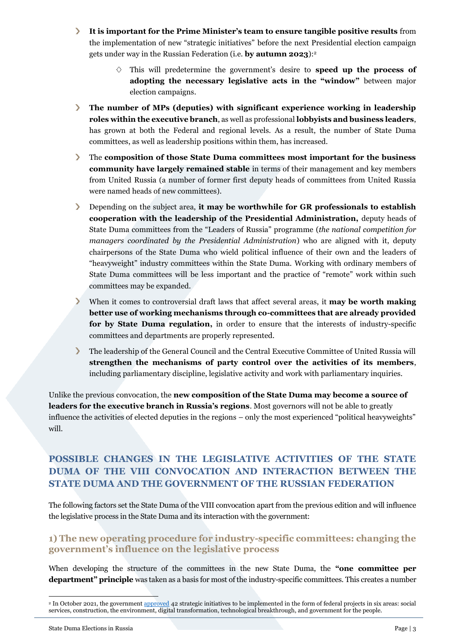- $\sum_{i=1}^{n}$ **It is important for the Prime Minister's team to ensure tangible positive results** from the implementation of new "strategic initiatives" before the next Presidential election campaign gets under way in the Russian Federation (i.e. **by autumn 2023**):<sup>2</sup>
	- $\Diamond$  This will predetermine the government's desire to **speed up the process of adopting the necessary legislative acts in the "window"** between major election campaigns.
- **The number of MPs (deputies) with significant experience working in leadership roles within the executive branch**, as well as professional **lobbyists and business leaders**, has grown at both the Federal and regional levels. As a result, the number of State Duma committees, as well as leadership positions within them, has increased.
- $\sum_{i=1}^{n}$ The **composition of those State Duma committees most important for the business community have largely remained stable** in terms of their management and key members from United Russia (a number of former first deputy heads of committees from United Russia were named heads of new committees).
- $\blacktriangleright$ Depending on the subject area, **it may be worthwhile for GR professionals to establish cooperation with the leadership of the Presidential Administration,** deputy heads of State Duma committees from the "Leaders of Russia" programme (*the national competition for managers coordinated by the Presidential Administration*) who are aligned with it, deputy chairpersons of the State Duma who wield political influence of their own and the leaders of "heavyweight" industry committees within the State Duma. Working with ordinary members of State Duma committees will be less important and the practice of "remote" work within such committees may be expanded.
- $\sum_{i=1}^{n}$ When it comes to controversial draft laws that affect several areas, it **may be worth making better use of working mechanisms through co-committees that are already provided for by State Duma regulation,** in order to ensure that the interests of industry-specific committees and departments are properly represented.
- $\mathbf{\Sigma}$ The leadership of the General Council and the Central Executive Committee of United Russia will **strengthen the mechanisms of party control over the activities of its members**, including parliamentary discipline, legislative activity and work with parliamentary inquiries.

Unlike the previous convocation, the **new composition of the State Duma may become a source of leaders for the executive branch in Russia's regions**. Most governors will not be able to greatly influence the activities of elected deputies in the regions – only the most experienced "political heavyweights" will.

# <span id="page-2-0"></span>**POSSIBLE CHANGES IN THE LEGISLATIVE ACTIVITIES OF THE STATE DUMA OF THE VIII CONVOCATION AND INTERACTION BETWEEN THE STATE DUMA AND THE GOVERNMENT OF THE RUSSIAN FEDERATION**

The following factors set the State Duma of the VIII convocation apart from the previous edition and will influence the legislative process in the State Duma and its interaction with the government:

#### **1) The new operating procedure for industry-specific committees: changing the government's influence on the legislative process**

When developing the structure of the committees in the new State Duma, the **"one committee per department" principle** was taken as a basis for most of the industry-specific committees. This creates a number

<sup>&</sup>lt;sup>2</sup> In October 2021, the government [approved](http://government.ru/news/43451/) 42 strategic initiatives to be implemented in the form of federal projects in six areas: social services, construction, the environment, digital transformation, technological breakthrough, and government for the people.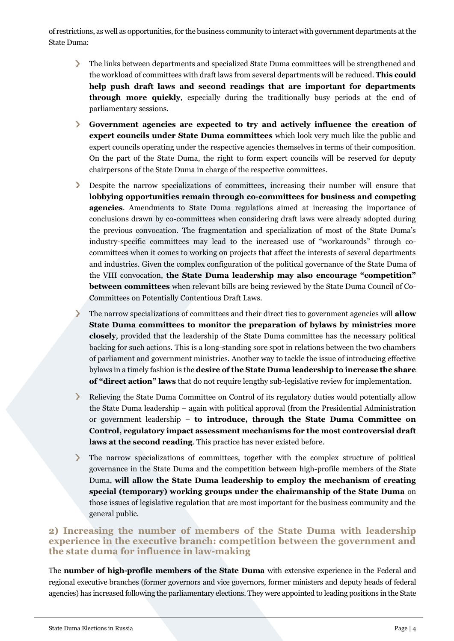of restrictions, as well as opportunities, for the business community to interact with government departments at the State Duma:

- The links between departments and specialized State Duma committees will be strengthened and the workload of committees with draft laws from several departments will be reduced. **This could help push draft laws and second readings that are important for departments through more quickly**, especially during the traditionally busy periods at the end of parliamentary sessions.
- **Government agencies are expected to try and actively influence the creation of expert councils under State Duma committees** which look very much like the public and expert councils operating under the respective agencies themselves in terms of their composition. On the part of the State Duma, the right to form expert councils will be reserved for deputy chairpersons of the State Duma in charge of the respective committees.
- Despite the narrow specializations of committees, increasing their number will ensure that **lobbying opportunities remain through co-committees for business and competing agencies**. Amendments to State Duma regulations aimed at increasing the importance of conclusions drawn by co-committees when considering draft laws were already adopted during the previous convocation. The fragmentation and specialization of most of the State Duma's industry-specific committees may lead to the increased use of "workarounds" through cocommittees when it comes to working on projects that affect the interests of several departments and industries. Given the complex configuration of the political governance of the State Duma of the VIII convocation, **the State Duma leadership may also encourage "competition" between committees** when relevant bills are being reviewed by the State Duma Council of Co-Committees on Potentially Contentious Draft Laws.
- The narrow specializations of committees and their direct ties to government agencies will **allow**   $\sum$ **State Duma committees to monitor the preparation of bylaws by ministries more closely**, provided that the leadership of the State Duma committee has the necessary political backing for such actions. This is a long-standing sore spot in relations between the two chambers of parliament and government ministries. Another way to tackle the issue of introducing effective bylaws in a timely fashion is the **desire of the State Duma leadership to increase the share of "direct action" laws** that do not require lengthy sub-legislative review for implementation.
- $\sum$ Relieving the State Duma Committee on Control of its regulatory duties would potentially allow the State Duma leadership – again with political approval (from the Presidential Administration or government leadership – **to introduce, through the State Duma Committee on Control, regulatory impact assessment mechanisms for the most controversial draft laws at the second reading**. This practice has never existed before.
- $\sum$ The narrow specializations of committees, together with the complex structure of political governance in the State Duma and the competition between high-profile members of the State Duma, **will allow the State Duma leadership to employ the mechanism of creating special (temporary) working groups under the chairmanship of the State Duma** on those issues of legislative regulation that are most important for the business community and the general public.

#### **2) Increasing the number of members of the State Duma with leadership experience in the executive branch: competition between the government and the state duma for influence in law-making**

The **number of high-profile members of the State Duma** with extensive experience in the Federal and regional executive branches (former governors and vice governors, former ministers and deputy heads of federal agencies) has increased following the parliamentary elections. They were appointed to leading positions in the State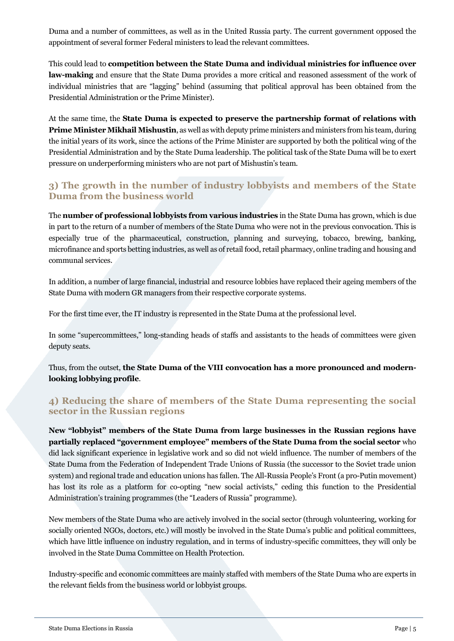Duma and a number of committees, as well as in the United Russia party. The current government opposed the appointment of several former Federal ministers to lead the relevant committees.

This could lead to **competition between the State Duma and individual ministries for influence over law-making** and ensure that the State Duma provides a more critical and reasoned assessment of the work of individual ministries that are "lagging" behind (assuming that political approval has been obtained from the Presidential Administration or the Prime Minister).

At the same time, the **State Duma is expected to preserve the partnership format of relations with Prime Minister Mikhail Mishustin**, as well as with deputy prime ministers and ministers from his team, during the initial years of its work, since the actions of the Prime Minister are supported by both the political wing of the Presidential Administration and by the State Duma leadership. The political task of the State Duma will be to exert pressure on underperforming ministers who are not part of Mishustin's team.

# **3) The growth in the number of industry lobbyists and members of the State Duma from the business world**

The **number of professional lobbyists from various industries** in the State Duma has grown, which is due in part to the return of a number of members of the State Duma who were not in the previous convocation. This is especially true of the pharmaceutical, construction, planning and surveying, tobacco, brewing, banking, microfinance and sports betting industries, as well as of retail food, retail pharmacy, online trading and housing and communal services.

In addition, a number of large financial, industrial and resource lobbies have replaced their ageing members of the State Duma with modern GR managers from their respective corporate systems.

For the first time ever, the IT industry is represented in the State Duma at the professional level.

In some "supercommittees," long-standing heads of staffs and assistants to the heads of committees were given deputy seats.

Thus, from the outset, **the State Duma of the VIII convocation has a more pronounced and modernlooking lobbying profile**.

#### **4) Reducing the share of members of the State Duma representing the social sector in the Russian regions**

**New "lobbyist" members of the State Duma from large businesses in the Russian regions have partially replaced "government employee" members of the State Duma from the social sector** who did lack significant experience in legislative work and so did not wield influence. The number of members of the State Duma from the Federation of Independent Trade Unions of Russia (the successor to the Soviet trade union system) and regional trade and education unions has fallen. The All-Russia People's Front (a pro-Putin movement) has lost its role as a platform for co-opting "new social activists," ceding this function to the Presidential Administration's training programmes (the "Leaders of Russia" programme).

New members of the State Duma who are actively involved in the social sector (through volunteering, working for socially oriented NGOs, doctors, etc.) will mostly be involved in the State Duma's public and political committees, which have little influence on industry regulation, and in terms of industry-specific committees, they will only be involved in the State Duma Committee on Health Protection.

Industry-specific and economic committees are mainly staffed with members of the State Duma who are experts in the relevant fields from the business world or lobbyist groups.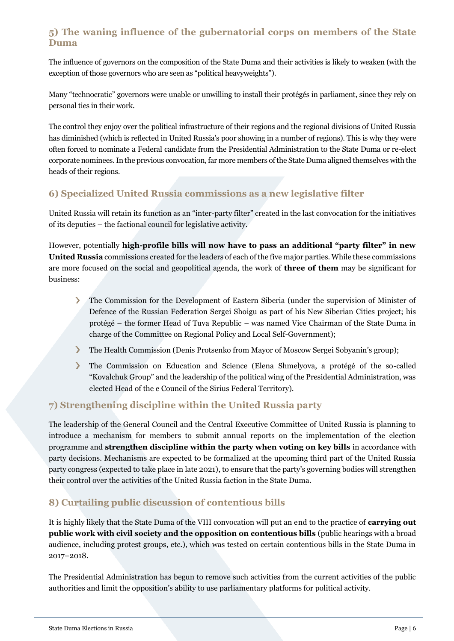# **5) The waning influence of the gubernatorial corps on members of the State Duma**

The influence of governors on the composition of the State Duma and their activities is likely to weaken (with the exception of those governors who are seen as "political heavyweights").

Many "technocratic" governors were unable or unwilling to install their protégés in parliament, since they rely on personal ties in their work.

The control they enjoy over the political infrastructure of their regions and the regional divisions of United Russia has diminished (which is reflected in United Russia's poor showing in a number of regions). This is why they were often forced to nominate a Federal candidate from the Presidential Administration to the State Duma or re-elect corporate nominees. In the previous convocation, far more members of the State Duma aligned themselves with the heads of their regions.

# **6) Specialized United Russia commissions as a new legislative filter**

United Russia will retain its function as an "inter-party filter" created in the last convocation for the initiatives of its deputies – the factional council for legislative activity.

However, potentially **high-profile bills will now have to pass an additional "party filter" in new United Russia** commissions created for the leaders of each of the five major parties. While these commissions are more focused on the social and geopolitical agenda, the work of **three of them** may be significant for business:

- The Commission for the Development of Eastern Siberia (under the supervision of Minister of  $\blacktriangleright$ Defence of the Russian Federation Sergei Shoigu as part of his New Siberian Cities project; his protégé – the former Head of Tuva Republic – was named Vice Chairman of the State Duma in charge of the Committee on Regional Policy and Local Self-Government);
- У The Health Commission (Denis Protsenko from Mayor of Moscow Sergei Sobyanin's group);
- $\sum$ The Commission on Education and Science (Elena Shmelyova, a protégé of the so-called "Kovalchuk Group" and the leadership of the political wing of the Presidential Administration, was elected Head of the e Council of the Sirius Federal Territory).

# **7) Strengthening discipline within the United Russia party**

The leadership of the General Council and the Central Executive Committee of United Russia is planning to introduce a mechanism for members to submit annual reports on the implementation of the election programme and **strengthen discipline within the party when voting on key bills** in accordance with party decisions. Mechanisms are expected to be formalized at the upcoming third part of the United Russia party congress (expected to take place in late 2021), to ensure that the party's governing bodies will strengthen their control over the activities of the United Russia faction in the State Duma.

# **8) Curtailing public discussion of contentious bills**

It is highly likely that the State Duma of the VIII convocation will put an end to the practice of **carrying out public work with civil society and the opposition on contentious bills** (public hearings with a broad audience, including protest groups, etc.), which was tested on certain contentious bills in the State Duma in 2017–2018.

The Presidential Administration has begun to remove such activities from the current activities of the public authorities and limit the opposition's ability to use parliamentary platforms for political activity.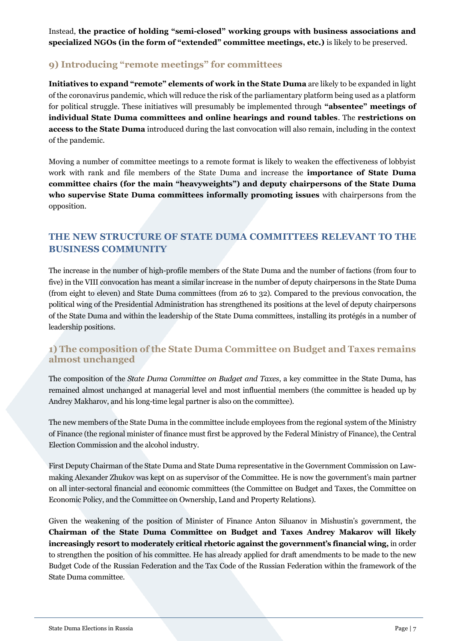Instead, **the practice of holding "semi-closed" working groups with business associations and specialized NGOs (in the form of "extended" committee meetings, etc.)** is likely to be preserved.

### **9) Introducing "remote meetings" for committees**

**Initiatives to expand "remote" elements of work in the State Duma** are likely to be expanded in light of the coronavirus pandemic, which will reduce the risk of the parliamentary platform being used as a platform for political struggle. These initiatives will presumably be implemented through **"absentee" meetings of individual State Duma committees and online hearings and round tables**. The **restrictions on access to the State Duma** introduced during the last convocation will also remain, including in the context of the pandemic.

Moving a number of committee meetings to a remote format is likely to weaken the effectiveness of lobbyist work with rank and file members of the State Duma and increase the **importance of State Duma committee chairs (for the main "heavyweights") and deputy chairpersons of the State Duma who supervise State Duma committees informally promoting issues** with chairpersons from the opposition.

# <span id="page-6-0"></span>**THE NEW STRUCTURE OF STATE DUMA COMMITTEES RELEVANT TO THE BUSINESS COMMUNITY**

The increase in the number of high-profile members of the State Duma and the number of factions (from four to five) in the VIII convocation has meant a similar increase in the number of deputy chairpersons in the State Duma (from eight to eleven) and State Duma committees (from 26 to 32). Compared to the previous convocation, the political wing of the Presidential Administration has strengthened its positions at the level of deputy chairpersons of the State Duma and within the leadership of the State Duma committees, installing its protégés in a number of leadership positions.

#### **1) The composition of the State Duma Committee on Budget and Taxes remains almost unchanged**

The composition of the *State Duma Committee on Budget and Taxes*, a key committee in the State Duma, has remained almost unchanged at managerial level and most influential members (the committee is headed up by Andrey Makharov, and his long-time legal partner is also on the committee).

The new members of the State Duma in the committee include employees from the regional system of the Ministry of Finance (the regional minister of finance must first be approved by the Federal Ministry of Finance), the Central Election Commission and the alcohol industry.

First Deputy Chairman of the State Duma and State Duma representative in the Government Commission on Lawmaking Alexander Zhukov was kept on as supervisor of the Committee. He is now the government's main partner on all inter-sectoral financial and economic committees (the Committee on Budget and Taxes, the Committee on Economic Policy, and the Committee on Ownership, Land and Property Relations).

Given the weakening of the position of Minister of Finance Anton Siluanov in Mishustin's government, the **Chairman of the State Duma Committee on Budget and Taxes Andrey Makarov will likely increasingly resort to moderately critical rhetoric against the government's financial wing,** in order to strengthen the position of his committee. He has already applied for draft amendments to be made to the new Budget Code of the Russian Federation and the Tax Code of the Russian Federation within the framework of the State Duma committee.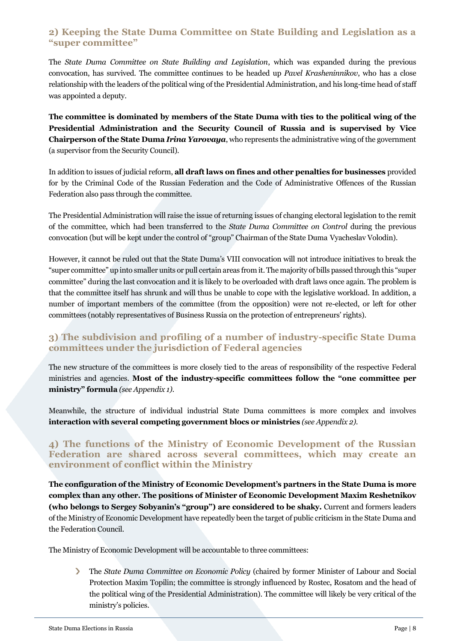#### **2) Keeping the State Duma Committee on State Building and Legislation as a "super committee"**

The *State Duma Committee on State Building and Legislation*, which was expanded during the previous convocation, has survived. The committee continues to be headed up *Pavel Krasheninnikov*, who has a close relationship with the leaders of the political wing of the Presidential Administration, and his long-time head of staff was appointed a deputy.

**The committee is dominated by members of the State Duma with ties to the political wing of the Presidential Administration and the Security Council of Russia and is supervised by Vice Chairperson of the State Duma** *Irina Yarovaya*, who represents the administrative wing of the government (a supervisor from the Security Council).

In addition to issues of judicial reform, **all draft laws on fines and other penalties for businesses** provided for by the Criminal Code of the Russian Federation and the Code of Administrative Offences of the Russian Federation also pass through the committee.

The Presidential Administration will raise the issue of returning issues of changing electoral legislation to the remit of the committee, which had been transferred to the *State Duma Committee on Control* during the previous convocation (but will be kept under the control of "group" Chairman of the State Duma Vyacheslav Volodin).

However, it cannot be ruled out that the State Duma's VIII convocation will not introduce initiatives to break the "super committee" up into smaller units or pull certain areas from it. The majority of bills passed through this "super committee" during the last convocation and it is likely to be overloaded with draft laws once again. The problem is that the committee itself has shrunk and will thus be unable to cope with the legislative workload. In addition, a number of important members of the committee (from the opposition) were not re-elected, or left for other committees (notably representatives of Business Russia on the protection of entrepreneurs' rights).

# **3) The subdivision and profiling of a number of industry-specific State Duma committees under the jurisdiction of Federal agencies**

The new structure of the committees is more closely tied to the areas of responsibility of the respective Federal ministries and agencies. **Most of the industry-specific committees follow the "one committee per ministry" formula** *(see Appendix 1).*

Meanwhile, the structure of individual industrial State Duma committees is more complex and involves **interaction with several competing government blocs or ministries** *(see Appendix 2)*.

#### **4) The functions of the Ministry of Economic Development of the Russian Federation are shared across several committees, which may create an environment of conflict within the Ministry**

**The configuration of the Ministry of Economic Development's partners in the State Duma is more complex than any other. The positions of Minister of Economic Development Maxim Reshetnikov (who belongs to Sergey Sobyanin's "group") are considered to be shaky.** Current and formers leaders of the Ministry of Economic Development have repeatedly been the target of public criticism in the State Duma and the Federation Council.

The Ministry of Economic Development will be accountable to three committees:

The *State Duma Committee on Economic Policy* (chaired by former Minister of Labour and Social  $\sum$ Protection Maxim Topilin; the committee is strongly influenced by Rostec, Rosatom and the head of the political wing of the Presidential Administration). The committee will likely be very critical of the ministry's policies.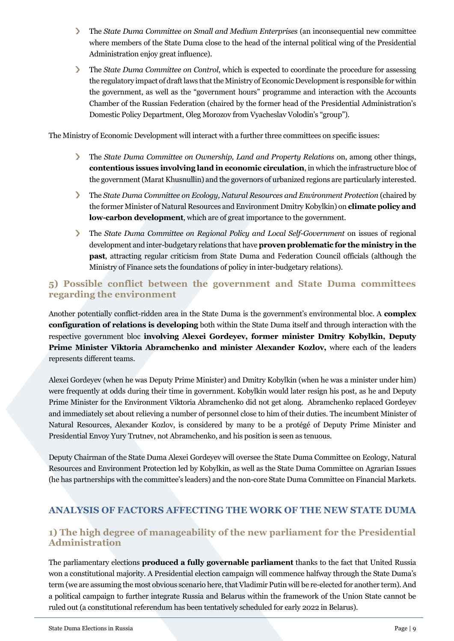- $\sum_{i=1}^{n}$ The *State Duma Committee on Small and Medium Enterprises* (an inconsequential new committee where members of the State Duma close to the head of the internal political wing of the Presidential Administration enjoy great influence).
- $\sum_{i=1}^{n}$ The *State Duma Committee on Control*, which is expected to coordinate the procedure for assessing the regulatory impact of draft laws that the Ministry of Economic Development is responsible for within the government, as well as the "government hours" programme and interaction with the Accounts Chamber of the Russian Federation (chaired by the former head of the Presidential Administration's Domestic Policy Department, Oleg Morozov from Vyacheslav Volodin's "group").

The Ministry of Economic Development will interact with a further three committees on specific issues:

- $\sum$ The *State Duma Committee on Ownership, Land and Property Relations* on, among other things, **contentious issues involving land in economic circulation**, in which the infrastructure bloc of the government (Marat Khusnullin) and the governors of urbanized regions are particularly interested.
- $\sum_{i=1}^{n}$ The *State Duma Committee on Ecology, Natural Resources and Environment Protection* (chaired by the former Minister of Natural Resources and Environment Dmitry Kobylkin) on **climate policy and low-carbon development**, which are of great importance to the government.
- $\sum$ The *State Duma Committee on Regional Policy and Local Self-Government* on issues of regional development and inter-budgetary relations that have **proven problematic for the ministry in the past**, attracting regular criticism from State Duma and Federation Council officials (although the Ministry of Finance sets the foundations of policy in inter-budgetary relations).

#### **5) Possible conflict between the government and State Duma committees regarding the environment**

Another potentially conflict-ridden area in the State Duma is the government's environmental bloc. A **complex configuration of relations is developing** both within the State Duma itself and through interaction with the respective government bloc **involving Alexei Gordeyev, former minister Dmitry Kobylkin, Deputy Prime Minister Viktoria Abramchenko and minister Alexander Kozlov,** where each of the leaders represents different teams.

Alexei Gordeyev (when he was Deputy Prime Minister) and Dmitry Kobylkin (when he was a minister under him) were frequently at odds during their time in government. Kobylkin would later resign his post, as he and Deputy Prime Minister for the Environment Viktoria Abramchenko did not get along. Abramchenko replaced Gordeyev and immediately set about relieving a number of personnel close to him of their duties. The incumbent Minister of Natural Resources, Alexander Kozlov, is considered by many to be a protégé of Deputy Prime Minister and Presidential Envoy Yury Trutnev, not Abramchenko, and his position is seen as tenuous.

Deputy Chairman of the State Duma Alexei Gordeyev will oversee the State Duma Committee on Ecology, Natural Resources and Environment Protection led by Kobylkin, as well as the State Duma Committee on Agrarian Issues (he has partnerships with the committee's leaders) and the non-core State Duma Committee on Financial Markets.

# <span id="page-8-0"></span>**ANALYSIS OF FACTORS AFFECTING THE WORK OF THE NEW STATE DUMA**

#### **1) The high degree of manageability of the new parliament for the Presidential Administration**

The parliamentary elections **produced a fully governable parliament** thanks to the fact that United Russia won a constitutional majority. A Presidential election campaign will commence halfway through the State Duma's term (we are assuming the most obvious scenario here, that Vladimir Putin will be re-elected for another term). And a political campaign to further integrate Russia and Belarus within the framework of the Union State cannot be ruled out (a constitutional referendum has been tentatively scheduled for early 2022 in Belarus).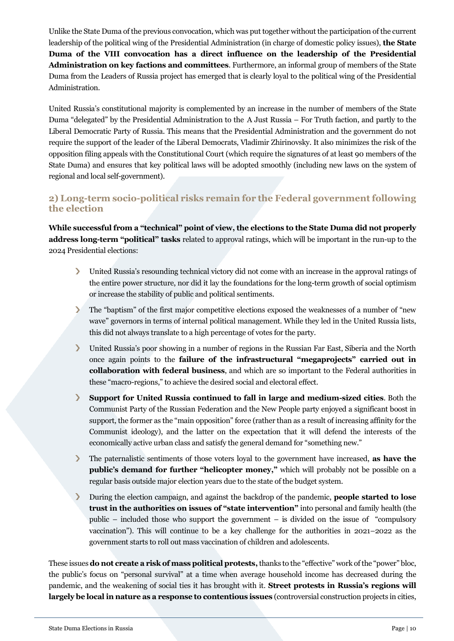Unlike the State Duma of the previous convocation, which was put together without the participation of the current leadership of the political wing of the Presidential Administration (in charge of domestic policy issues), **the State Duma of the VIII convocation has a direct influence on the leadership of the Presidential Administration on key factions and committees**. Furthermore, an informal group of members of the State Duma from the Leaders of Russia project has emerged that is clearly loyal to the political wing of the Presidential Administration.

United Russia's constitutional majority is complemented by an increase in the number of members of the State Duma "delegated" by the Presidential Administration to the A Just Russia – For Truth faction, and partly to the Liberal Democratic Party of Russia. This means that the Presidential Administration and the government do not require the support of the leader of the Liberal Democrats, Vladimir Zhirinovsky. It also minimizes the risk of the opposition filing appeals with the Constitutional Court (which require the signatures of at least 90 members of the State Duma) and ensures that key political laws will be adopted smoothly (including new laws on the system of regional and local self-government).

#### **2) Long-term socio-political risks remain for the Federal government following the election**

**While successful from a "technical" point of view, the elections to the State Duma did not properly address long-term "political" tasks** related to approval ratings, which will be important in the run-up to the 2024 Presidential elections:

- United Russia's resounding technical victory did not come with an increase in the approval ratings of  $\sum_{i=1}^{n}$ the entire power structure, nor did it lay the foundations for the long-term growth of social optimism or increase the stability of public and political sentiments.
- $\sum$ The "baptism" of the first major competitive elections exposed the weaknesses of a number of "new wave" governors in terms of internal political management. While they led in the United Russia lists, this did not always translate to a high percentage of votes for the party.
- $\sum$ United Russia's poor showing in a number of regions in the Russian Far East, Siberia and the North once again points to the **failure of the infrastructural "megaprojects" carried out in collaboration with federal business**, and which are so important to the Federal authorities in these "macro-regions," to achieve the desired social and electoral effect.
- $\sum$ **Support for United Russia continued to fall in large and medium-sized cities**. Both the Communist Party of the Russian Federation and the New People party enjoyed a significant boost in support, the former as the "main opposition" force (rather than as a result of increasing affinity for the Communist ideology), and the latter on the expectation that it will defend the interests of the economically active urban class and satisfy the general demand for "something new."
- $\sum_{i=1}^{n}$ The paternalistic sentiments of those voters loyal to the government have increased, **as have the public's demand for further "helicopter money,"** which will probably not be possible on a regular basis outside major election years due to the state of the budget system.
- $\mathbf{\Sigma}$ During the election campaign, and against the backdrop of the pandemic, **people started to lose trust in the authorities on issues of "state intervention"** into personal and family health (the public – included those who support the government – is divided on the issue of "compulsory vaccination"). This will continue to be a key challenge for the authorities in 2021–2022 as the government starts to roll out mass vaccination of children and adolescents.

These issues **do not create a risk of mass political protests,**thanks to the "effective" work of the "power" bloc, the public's focus on "personal survival" at a time when average household income has decreased during the pandemic, and the weakening of social ties it has brought with it. **Street protests in Russia's regions will largely be local in nature as a response to contentious issues** (controversial construction projects in cities,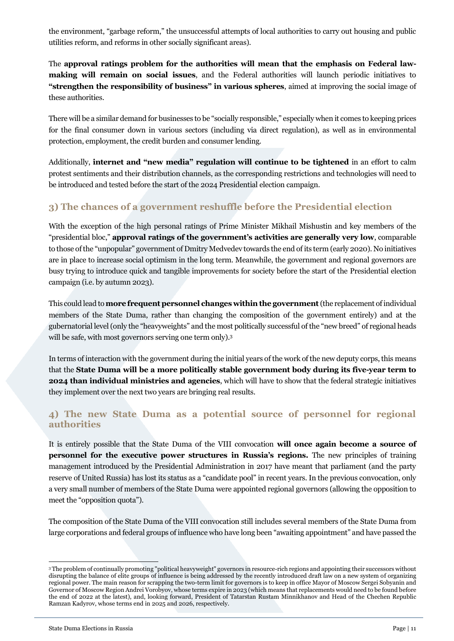the environment, "garbage reform," the unsuccessful attempts of local authorities to carry out housing and public utilities reform, and reforms in other socially significant areas).

The **approval ratings problem for the authorities will mean that the emphasis on Federal lawmaking will remain on social issues**, and the Federal authorities will launch periodic initiatives to **"strengthen the responsibility of business" in various spheres**, aimed at improving the social image of these authorities.

There will be a similar demand for businesses to be "socially responsible," especially when it comes to keeping prices for the final consumer down in various sectors (including via direct regulation), as well as in environmental protection, employment, the credit burden and consumer lending.

Additionally, **internet and "new media" regulation will continue to be tightened** in an effort to calm protest sentiments and their distribution channels, as the corresponding restrictions and technologies will need to be introduced and tested before the start of the 2024 Presidential election campaign.

# **3) The chances of a government reshuffle before the Presidential election**

With the exception of the high personal ratings of Prime Minister Mikhail Mishustin and key members of the "presidential bloc," **approval ratings of the government's activities are generally very low**, comparable to those of the "unpopular" government of Dmitry Medvedev towards the end of its term (early 2020). No initiatives are in place to increase social optimism in the long term. Meanwhile, the government and regional governors are busy trying to introduce quick and tangible improvements for society before the start of the Presidential election campaign (i.e. by autumn 2023).

This could lead to **more frequent personnel changes within the government**(the replacement of individual members of the State Duma, rather than changing the composition of the government entirely) and at the gubernatorial level (only the "heavyweights" and the most politically successful of the "new breed" of regional heads will be safe, with most governors serving one term only).<sup>3</sup>

In terms of interaction with the government during the initial years of the work of the new deputy corps, this means that the **State Duma will be a more politically stable government body during its five-year term to 2024 than individual ministries and agencies**, which will have to show that the federal strategic initiatives they implement over the next two years are bringing real results.

#### **4) The new State Duma as a potential source of personnel for regional authorities**

It is entirely possible that the State Duma of the VIII convocation **will once again become a source of personnel for the executive power structures in Russia's regions.** The new principles of training management introduced by the Presidential Administration in 2017 have meant that parliament (and the party reserve of United Russia) has lost its status as a "candidate pool" in recent years. In the previous convocation, only a very small number of members of the State Duma were appointed regional governors (allowing the opposition to meet the "opposition quota").

The composition of the State Duma of the VIII convocation still includes several members of the State Duma from large corporations and federal groups of influence who have long been "awaiting appointment" and have passed the

<sup>3</sup> The problem of continually promoting "political heavyweight" governors in resource-rich regions and appointing their successors without disrupting the balance of elite groups of influence is being addressed by the recently introduced draft law on a new system of organizing regional power. The main reason for scrapping the two-term limit for governors is to keep in office Mayor of Moscow Sergei Sobyanin and Governor of Moscow Region Andrei Vorobyov, whose terms expire in 2023 (which means that replacements would need to be found before the end of 2022 at the latest), and, looking forward, President of Tatarstan Rustam Minnikhanov and Head of the Chechen Republic Ramzan Kadyrov, whose terms end in 2025 and 2026, respectively.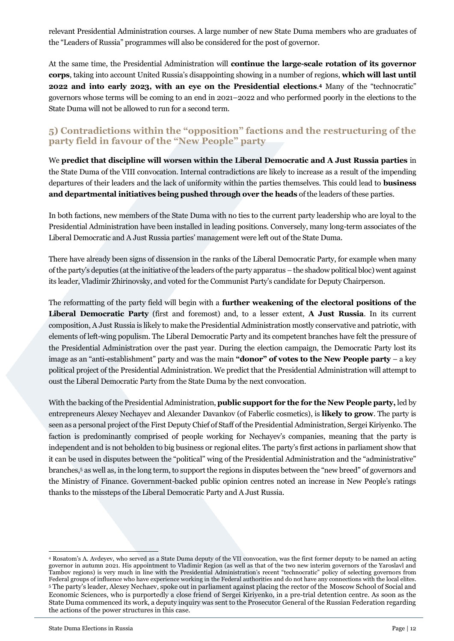relevant Presidential Administration courses. A large number of new State Duma members who are graduates of the "Leaders of Russia" programmes will also be considered for the post of governor.

At the same time, the Presidential Administration will **continue the large-scale rotation of its governor corps**, taking into account United Russia's disappointing showing in a number of regions, **which will last until 2022 and into early 2023, with an eye on the Presidential elections**. **<sup>4</sup>** Many of the "technocratic" governors whose terms will be coming to an end in 2021–2022 and who performed poorly in the elections to the State Duma will not be allowed to run for a second term.

#### **5) Contradictions within the "opposition" factions and the restructuring of the party field in favour of the "New People" party**

We **predict that discipline will worsen within the Liberal Democratic and A Just Russia parties** in the State Duma of the VIII convocation. Internal contradictions are likely to increase as a result of the impending departures of their leaders and the lack of uniformity within the parties themselves. This could lead to **business and departmental initiatives being pushed through over the heads** of the leaders of these parties.

In both factions, new members of the State Duma with no ties to the current party leadership who are loyal to the Presidential Administration have been installed in leading positions. Conversely, many long-term associates of the Liberal Democratic and A Just Russia parties' management were left out of the State Duma.

There have already been signs of dissension in the ranks of the Liberal Democratic Party, for example when many of the party's deputies (at the initiative of the leaders of the party apparatus – the shadow political bloc) went against its leader, Vladimir Zhirinovsky, and voted for the Communist Party's candidate for Deputy Chairperson.

The reformatting of the party field will begin with a **further weakening of the electoral positions of the Liberal Democratic Party** (first and foremost) and, to a lesser extent, **A Just Russia**. In its current composition, A Just Russia is likely to make the Presidential Administration mostly conservative and patriotic, with elements of left-wing populism. The Liberal Democratic Party and its competent branches have felt the pressure of the Presidential Administration over the past year. During the election campaign, the Democratic Party lost its image as an "anti-establishment" party and was the main **"donor" of votes to the New People party** – a key political project of the Presidential Administration. We predict that the Presidential Administration will attempt to oust the Liberal Democratic Party from the State Duma by the next convocation.

With the backing of the Presidential Administration, **public support for the for the New People party,** led by entrepreneurs Alexey Nechayev and Alexander Davankov (of Faberlic cosmetics), is **likely to grow**. The party is seen as a personal project of the First Deputy Chief of Staff of the Presidential Administration, Sergei Kiriyenko. The faction is predominantly comprised of people working for Nechayev's companies, meaning that the party is independent and is not beholden to big business or regional elites. The party's first actions in parliament show that it can be used in disputes between the "political" wing of the Presidential Administration and the "administrative" branches,<sup>5</sup> as well as, in the long term, to support the regions in disputes between the "new breed" of governors and the Ministry of Finance. Government-backed public opinion centres noted an increase in New People's ratings thanks to the missteps of the Liberal Democratic Party and A Just Russia.

<sup>4</sup> Rosatom's A. Avdeyev, who served as a State Duma deputy of the VII convocation, was the first former deputy to be named an acting governor in autumn 2021. His appointment to Vladimir Region (as well as that of the two new interim governors of the Yaroslavl and Tambov regions) is very much in line with the Presidential Administration's recent "technocratic" policy of selecting governors from Federal groups of influence who have experience working in the Federal authorities and do not have any connections with the local elites. <sup>5</sup> The party's leader, Alexey Nechaev, spoke out in parliament against placing the rector of the Moscow School of Social and Economic Sciences, who is purportedly a close friend of Sergei Kiriyenko, in a pre-trial detention centre. As soon as the State Duma commenced its work, a deputy inquiry was sent to the Prosecutor General of the Russian Federation regarding the actions of the power structures in this case.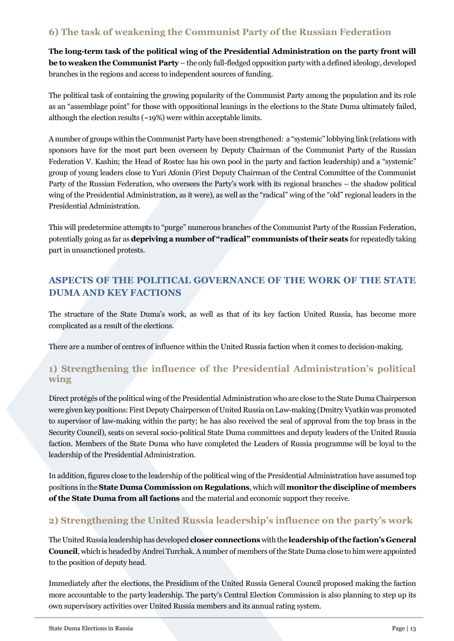# **6) The task of weakening the Communist Party of the Russian Federation**

**The long-term task of the political wing of the Presidential Administration on the party front will be to weaken the Communist Party** – the only full-fledged opposition party with a defined ideology, developed branches in the regions and access to independent sources of funding.

The political task of containing the growing popularity of the Communist Party among the population and its role as an "assemblage point" for those with oppositional leanings in the elections to the State Duma ultimately failed, although the election results (~19%) were within acceptable limits.

A number of groups within the Communist Party have been strengthened: a "systemic" lobbying link (relations with sponsors have for the most part been overseen by Deputy Chairman of the Communist Party of the Russian Federation V. Kashin; the Head of Rostec has his own pool in the party and faction leadership) and a "systemic" group of young leaders close to Yuri Afonin (First Deputy Chairman of the Central Committee of the Communist Party of the Russian Federation, who oversees the Party's work with its regional branches – the shadow political wing of the Presidential Administration, as it were), as well as the "radical" wing of the "old" regional leaders in the Presidential Administration.

This will predetermine attempts to "purge" numerous branches of the Communist Party of the Russian Federation, potentially going as far as **depriving a number of "radical" communists of their seats** for repeatedly taking part in unsanctioned protests.

# <span id="page-12-0"></span>**ASPECTS OF THE POLITICAL GOVERNANCE OF THE WORK OF THE STATE DUMA AND KEY FACTIONS**

The structure of the State Duma's work, as well as that of its key faction United Russia, has become more complicated as a result of the elections.

There are a number of centres of influence within the United Russia faction when it comes to decision-making.

# **1) Strengthening the influence of the Presidential Administration's political wing**

Direct protégés of the political wing of the Presidential Administration who are close to the State Duma Chairperson were given key positions: First Deputy Chairperson of United Russia on Law-making (Dmitry Vyatkin was promoted to supervisor of law-making within the party; he has also received the seal of approval from the top brass in the Security Council), seats on several socio-political State Duma committees and deputy leaders of the United Russia faction. Members of the State Duma who have completed the Leaders of Russia programme will be loyal to the leadership of the Presidential Administration.

In addition, figures close to the leadership of the political wing of the Presidential Administration have assumed top positions in the **State Duma Commission on Regulations**, which will **monitor the discipline of members of the State Duma from all factions** and the material and economic support they receive.

# **2) Strengthening the United Russia leadership's influence on the party's work**

The United Russia leadership has developed **closer connections** with the **leadership of the faction's General Council**, which is headed by Andrei Turchak. A number of members of the State Duma close to him were appointed to the position of deputy head.

Immediately after the elections, the Presidium of the United Russia General Council proposed making the faction more accountable to the party leadership. The party's Central Election Commission is also planning to step up its own supervisory activities over United Russia members and its annual rating system.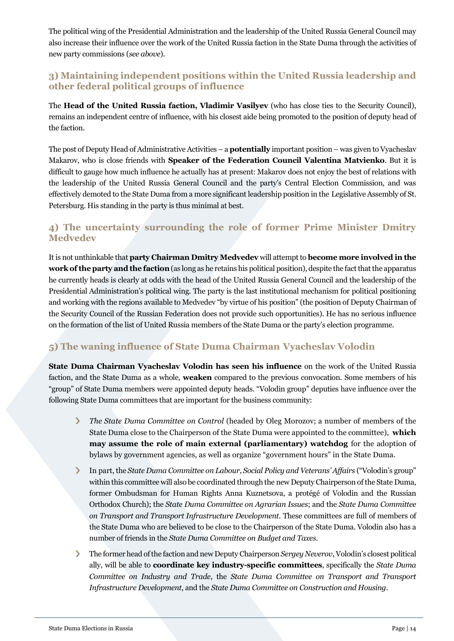The political wing of the Presidential Administration and the leadership of the United Russia General Council may also increase their influence over the work of the United Russia faction in the State Duma through the activities of new party commissions (*see above*).

# **3) Maintaining independent positions within the United Russia leadership and other federal political groups of influence**

The **Head of the United Russia faction, Vladimir Vasilyev** (who has close ties to the Security Council), remains an independent centre of influence, with his closest aide being promoted to the position of deputy head of the faction.

The post of Deputy Head of Administrative Activities – a **potentially** important position – was given to Vyacheslav Makarov, who is close friends with **Speaker of the Federation Council Valentina Matvienko**. But it is difficult to gauge how much influence he actually has at present: Makarov does not enjoy the best of relations with the leadership of the United Russia General Council and the party's Central Election Commission, and was effectively demoted to the State Duma from a more significant leadership position in the Legislative Assembly of St. Petersburg. His standing in the party is thus minimal at best.

# **4) The uncertainty surrounding the role of former Prime Minister Dmitry Medvedev**

It is not unthinkable that **party Chairman Dmitry Medvedev** will attempt to **become more involved in the work of the party and the faction**(as long as he retains his political position), despite the fact that the apparatus he currently heads is clearly at odds with the head of the United Russia General Council and the leadership of the Presidential Administration's political wing. The party is the last institutional mechanism for political positioning and working with the regions available to Medvedev "by virtue of his position" (the position of Deputy Chairman of the Security Council of the Russian Federation does not provide such opportunities). He has no serious influence on the formation of the list of United Russia members of the State Duma or the party's election programme.

# **5) The waning influence of State Duma Chairman Vyacheslav Volodin**

**State Duma Chairman Vyacheslav Volodin has seen his influence** on the work of the United Russia faction, and the State Duma as a whole, **weaken** compared to the previous convocation. Some members of his "group" of State Duma members were appointed deputy heads. "Volodin group" deputies have influence over the following State Duma committees that are important for the business community:

- $\sum$ *The State Duma Committee on Control* (headed by Oleg Morozov; a number of members of the State Duma close to the Chairperson of the State Duma were appointed to the committee), **which may assume the role of main external (parliamentary) watchdog** for the adoption of bylaws by government agencies, as well as organize "government hours" in the State Duma.
- In part, the *State Duma Committee on Labour, Social Policy and Veterans' Affairs* ("Volodin's group"  $\sum_{i=1}^{n}$ within this committee will also be coordinated through the new Deputy Chairperson of the State Duma, former Ombudsman for Human Rights Anna Kuznetsova, a protégé of Volodin and the Russian Orthodox Church); the *State Duma Committee on Agrarian Issues*; and the *State Duma Committee on Transport and Transport Infrastructure Development.* These committees are full of members of the State Duma who are believed to be close to the Chairperson of the State Duma. Volodin also has a number of friends in the *State Duma Committee on Budget and Taxes*.
- $\sum_{i=1}^{n}$ The former head of the faction and new Deputy Chairperson *Sergey Neverov*, Volodin's closest political ally, will be able to **coordinate key industry-specific committees**, specifically the *State Duma Committee on Industry and Trade*, the *State Duma Committee on Transport and Transport Infrastructure Development*, and the *State Duma Committee on Construction and Housing*.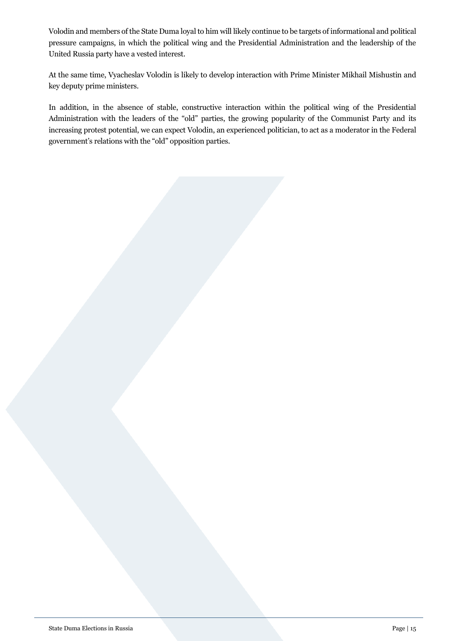Volodin and members of the State Duma loyal to him will likely continue to be targets of informational and political pressure campaigns, in which the political wing and the Presidential Administration and the leadership of the United Russia party have a vested interest.

At the same time, Vyacheslav Volodin is likely to develop interaction with Prime Minister Mikhail Mishustin and key deputy prime ministers.

In addition, in the absence of stable, constructive interaction within the political wing of the Presidential Administration with the leaders of the "old" parties, the growing popularity of the Communist Party and its increasing protest potential, we can expect Volodin, an experienced politician, to act as a moderator in the Federal government's relations with the "old" opposition parties.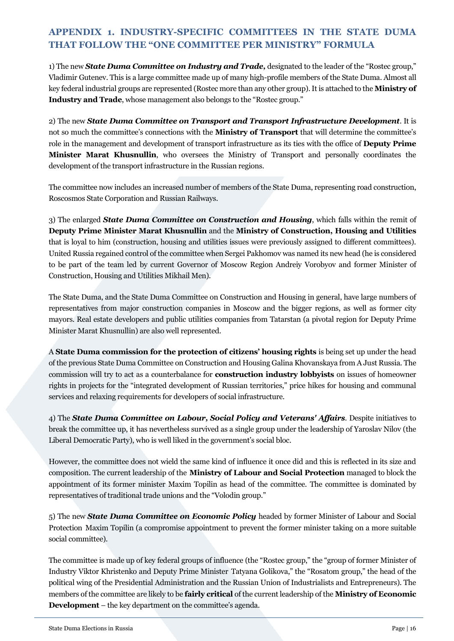# <span id="page-15-0"></span>**APPENDIX 1. INDUSTRY-SPECIFIC COMMITTEES IN THE STATE DUMA THAT FOLLOW THE "ONE COMMITTEE PER MINISTRY" FORMULA**

1) The new *State Duma Committee on Industry and Trade,* designated to the leader of the "Rostec group," Vladimir Gutenev. This is a large committee made up of many high-profile members of the State Duma. Almost all key federal industrial groups are represented (Rostec more than any other group). It is attached to the **Ministry of Industry and Trade**, whose management also belongs to the "Rostec group."

2) The new *State Duma Committee on Transport and Transport Infrastructure Development*. It is not so much the committee's connections with the **Ministry of Transport** that will determine the committee's role in the management and development of transport infrastructure as its ties with the office of **Deputy Prime Minister Marat Khusnullin**, who oversees the Ministry of Transport and personally coordinates the development of the transport infrastructure in the Russian regions.

The committee now includes an increased number of members of the State Duma, representing road construction, Roscosmos State Corporation and Russian Railways.

3) The enlarged *State Duma Committee on Construction and Housing*, which falls within the remit of **Deputy Prime Minister Marat Khusnullin** and the **Ministry of Construction, Housing and Utilities** that is loyal to him (construction, housing and utilities issues were previously assigned to different committees). United Russia regained control of the committee when Sergei Pakhomov was named its new head (he is considered to be part of the team led by current Governor of Moscow Region Andreiy Vorobyov and former Minister of Construction, Housing and Utilities Mikhail Men).

The State Duma, and the State Duma Committee on Construction and Housing in general, have large numbers of representatives from major construction companies in Moscow and the bigger regions, as well as former city mayors. Real estate developers and public utilities companies from Tatarstan (a pivotal region for Deputy Prime Minister Marat Khusnullin) are also well represented.

A **State Duma commission for the protection of citizens' housing rights** is being set up under the head of the previous State Duma Committee on Construction and Housing Galina Khovanskaya from A Just Russia. The commission will try to act as a counterbalance for **construction industry lobbyists** on issues of homeowner rights in projects for the "integrated development of Russian territories," price hikes for housing and communal services and relaxing requirements for developers of social infrastructure.

4) The *State Duma Committee on Labour, Social Policy and Veterans' Affairs*. Despite initiatives to break the committee up, it has nevertheless survived as a single group under the leadership of Yaroslav Nilov (the Liberal Democratic Party), who is well liked in the government's social bloc.

However, the committee does not wield the same kind of influence it once did and this is reflected in its size and composition. The current leadership of the **Ministry of Labour and Social Protection** managed to block the appointment of its former minister Maxim Topilin as head of the committee. The committee is dominated by representatives of traditional trade unions and the "Volodin group."

5) The new *State Duma Committee on Economic Policy* headed by former Minister of Labour and Social Protection Maxim Topilin (a compromise appointment to prevent the former minister taking on a more suitable social committee).

The committee is made up of key federal groups of influence (the "Rostec group," the "group of former Minister of Industry Viktor Khristenko and Deputy Prime Minister Tatyana Golikova," the "Rosatom group," the head of the political wing of the Presidential Administration and the Russian Union of Industrialists and Entrepreneurs). The members of the committee are likely to be **fairly critical** of the current leadership of the **Ministry of Economic Development** – the key department on the committee's agenda.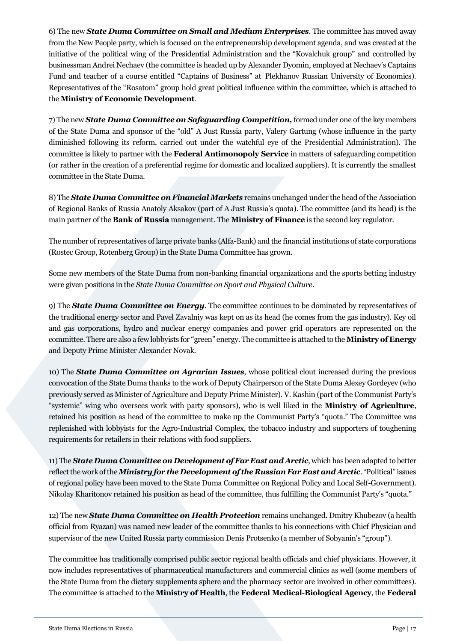6) The new *State Duma Committee on Small and Medium Enterprises*. The committee has moved away from the New People party, which is focused on the entrepreneurship development agenda, and was created at the initiative of the political wing of the Presidential Administration and the "Kovalchuk group" and controlled by businessman Andrei Nechaev (the committee is headed up by Alexander Dyomin, employed at Nechaev's Captains Fund and teacher of a course entitled "Captains of Business" at Plekhanov Russian University of Economics). Representatives of the "Rosatom" group hold great political influence within the committee, which is attached to the **Ministry of Economic Development**.

7) The new *State Duma Committee on Safeguarding Competition,* formed under one of the key members of the State Duma and sponsor of the "old" A Just Russia party, Valery Gartung (whose influence in the party diminished following its reform, carried out under the watchful eye of the Presidential Administration). The committee is likely to partner with the **Federal Antimonopoly Service** in matters of safeguarding competition (or rather in the creation of a preferential regime for domestic and localized suppliers). It is currently the smallest committee in the State Duma.

8) The *State Duma Committee on Financial Markets* remains unchanged under the head of the Association of Regional Banks of Russia Anatoly Aksakov (part of A Just Russia's quota). The committee (and its head) is the main partner of the **Bank of Russia** management. The **Ministry of Finance** is the second key regulator.

The number of representatives of large private banks (Alfa-Bank) and the financial institutions of state corporations (Rostec Group, Rotenberg Group) in the State Duma Committee has grown.

Some new members of the State Duma from non-banking financial organizations and the sports betting industry were given positions in the *State Duma Committee on Sport and Physical Culture*.

9) The *State Duma Committee on Energy*. The committee continues to be dominated by representatives of the traditional energy sector and Pavel Zavalniy was kept on as its head (he comes from the gas industry). Key oil and gas corporations, hydro and nuclear energy companies and power grid operators are represented on the committee. There are also a few lobbyists for "green" energy. The committee is attached to the **Ministry of Energy** and Deputy Prime Minister Alexander Novak.

10) The *State Duma Committee on Agrarian Issues*, whose political clout increased during the previous convocation of the State Duma thanks to the work of Deputy Chairperson of the State Duma Alexey Gordeyev (who previously served as Minister of Agriculture and Deputy Prime Minister). V. Kashin (part of the Communist Party's "systemic" wing who oversees work with party sponsors), who is well liked in the **Ministry of Agriculture**, retained his position as head of the committee to make up the Communist Party's "quota." The Committee was replenished with lobbyists for the Agro-Industrial Complex, the tobacco industry and supporters of toughening requirements for retailers in their relations with food suppliers.

11) The *State Duma Committee on Development of Far East and Arctic*, which has been adapted to better reflect the work of the *Ministry for the Development of the Russian Far East and Arctic*. "Political" issues of regional policy have been moved to the State Duma Committee on Regional Policy and Local Self-Government). Nikolay Kharitonov retained his position as head of the committee, thus fulfilling the Communist Party's "quota."

12) The new *State Duma Committee on Health Protection* remains unchanged. Dmitry Khubezov (a health official from Ryazan) was named new leader of the committee thanks to his connections with Chief Physician and supervisor of the new United Russia party commission Denis Protsenko (a member of Sobyanin's "group").

The committee has traditionally comprised public sector regional health officials and chief physicians. However, it now includes representatives of pharmaceutical manufacturers and commercial clinics as well (some members of the State Duma from the dietary supplements sphere and the pharmacy sector are involved in other committees). The committee is attached to the **Ministry of Health**, the **Federal Medical-Biological Agency**, the **Federal**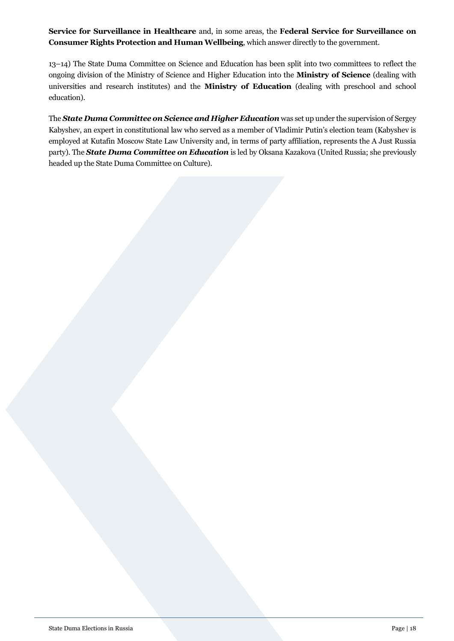**Service for Surveillance in Healthcare** and, in some areas, the **Federal Service for Surveillance on Consumer Rights Protection and Human Wellbeing**, which answer directly to the government.

13–14) The State Duma Committee on Science and Education has been split into two committees to reflect the ongoing division of the Ministry of Science and Higher Education into the **Ministry of Science** (dealing with universities and research institutes) and the **Ministry of Education** (dealing with preschool and school education).

The *State Duma Committee on Science and Higher Education* was set up under the supervision of Sergey Kabyshev, an expert in constitutional law who served as a member of Vladimir Putin's election team (Kabyshev is employed at Kutafin Moscow State Law University and, in terms of party affiliation, represents the A Just Russia party). The *State Duma Committee on Education* is led by Oksana Kazakova (United Russia; she previously headed up the State Duma Committee on Culture).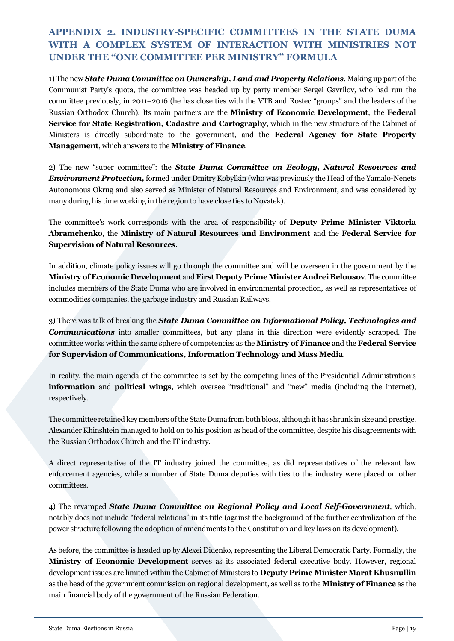# <span id="page-18-0"></span>**APPENDIX 2. INDUSTRY-SPECIFIC COMMITTEES IN THE STATE DUMA WITH A COMPLEX SYSTEM OF INTERACTION WITH MINISTRIES NOT UNDER THE "ONE COMMITTEE PER MINISTRY" FORMULA**

1) The new *State Duma Committee on Ownership, Land and Property Relations*. Making up part of the Communist Party's quota, the committee was headed up by party member Sergei Gavrilov, who had run the committee previously, in 2011–2016 (he has close ties with the VTB and Rostec "groups" and the leaders of the Russian Orthodox Church). Its main partners are the **Ministry of Economic Development**, the **Federal Service for State Registration, Cadastre and Cartography**, which in the new structure of the Cabinet of Ministers is directly subordinate to the government, and the **Federal Agency for State Property Management**, which answers to the **Ministry of Finance**.

2) The new "super committee": the *State Duma Committee on Ecology, Natural Resources and Environment Protection,* formed under Dmitry Kobylkin (who was previously the Head of the Yamalo-Nenets Autonomous Okrug and also served as Minister of Natural Resources and Environment, and was considered by many during his time working in the region to have close ties to Novatek).

The committee's work corresponds with the area of responsibility of **Deputy Prime Minister Viktoria Abramchenko**, the **Ministry of Natural Resources and Environment** and the **Federal Service for Supervision of Natural Resources**.

In addition, climate policy issues will go through the committee and will be overseen in the government by the **Ministry of Economic Development** and **First Deputy Prime Minister Andrei Belousov**. The committee includes members of the State Duma who are involved in environmental protection, as well as representatives of commodities companies, the garbage industry and Russian Railways.

3) There was talk of breaking the *State Duma Committee on Informational Policy, Technologies and Communications* into smaller committees, but any plans in this direction were evidently scrapped. The committee works within the same sphere of competencies as the **Ministry of Finance** and the **Federal Service for Supervision of Communications, Information Technology and Mass Media**.

In reality, the main agenda of the committee is set by the competing lines of the Presidential Administration's **information** and **political wings**, which oversee "traditional" and "new" media (including the internet), respectively.

The committee retained key members of the State Duma from both blocs, although it has shrunk in size and prestige. Alexander Khinshtein managed to hold on to his position as head of the committee, despite his disagreements with the Russian Orthodox Church and the IT industry.

A direct representative of the IT industry joined the committee, as did representatives of the relevant law enforcement agencies, while a number of State Duma deputies with ties to the industry were placed on other committees.

4) The revamped *State Duma Committee on Regional Policy and Local Self-Government*, which, notably does not include "federal relations" in its title (against the background of the further centralization of the power structure following the adoption of amendments to the Constitution and key laws on its development).

As before, the committee is headed up by Alexei Didenko, representing the Liberal Democratic Party. Formally, the **Ministry of Economic Development** serves as its associated federal executive body. However, regional development issues are limited within the Cabinet of Ministers to **Deputy Prime Minister Marat Khusnullin** as the head of the government commission on regional development, as well as to the **Ministry of Finance** as the main financial body of the government of the Russian Federation.